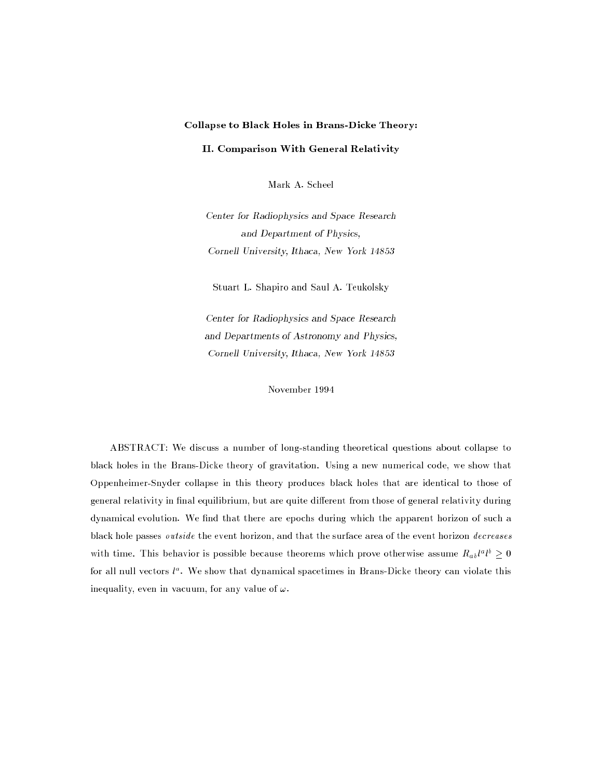# Collapse to Black Holes in Brans-Dicke Theory:

## II. Comparison With General Relativity

Mark A. Scheel

Center for Radiophysics and Space Research and Department of Physics, Cornell University, Ithaca, New York 14853

Stuart L. Shapiro and Saul A. Teukolsky

Center for Radiophysics and Space Research and Departments of Astronomy and Physics, Cornell University, Ithaca, New York 14853

November 1994

ABSTRACT: We discuss a number of long-standing theoretical questions about collapse to black holes in the Brans-Dicke theory of gravitation. Using a new numerical code, we show that Oppenheimer-Snyder collapse in this theory produces black holes that are identical to those of general relativity in final equilibrium, but are quite different from those of general relativity during dynamical evolution. We find that there are epochs during which the apparent horizon of such a black hole passes outside the event horizon, and that the surface area of the event horizon decreases with three This behavior is possible because theorems which prove otherwise assume  $R_{ab}t^*t^* \geq 0$ for an null vectors  $\iota^*$ . We show that dynamical spacetimes in Brans-Dicke theory can violate this inequality, even in vacuum, for any value of  $\omega$ .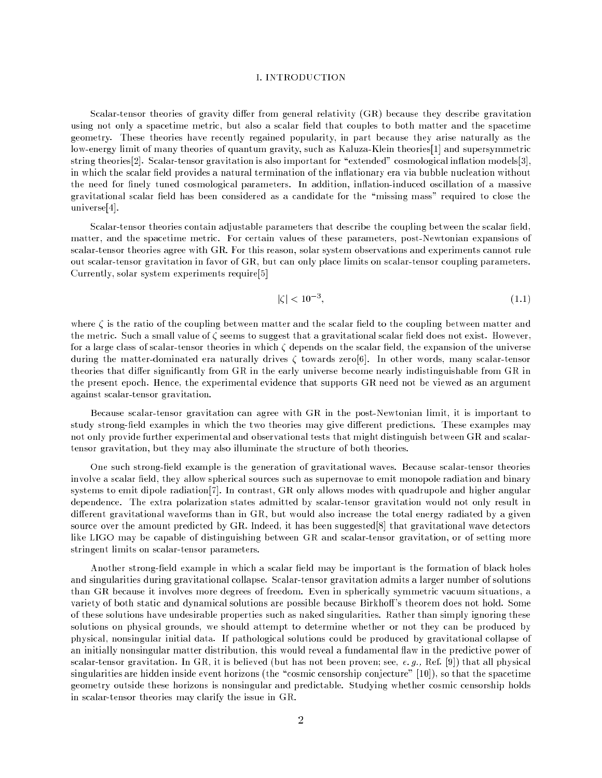#### I. INTRODUCTION

Scalar-tensor theories of gravity differ from general relativity (GR) because they describe gravitation using not only a spacetime metric, but also a scalar field that couples to both matter and the spacetime geometry. These theories have recently regained popularity, in part because they arise naturally as the low-energy limit of many theories of quantum gravity, such as Kaluza-Klein theories[1] and supersymmetric string theories<sup>[2]</sup>. Scalar-tensor gravitation is also important for "extended" cosmological inflation models<sup>[3]</sup>, in which the scalar field provides a natural termination of the inflationary era via bubble nucleation without the need for finely tuned cosmological parameters. In addition, inflation-induced oscillation of a massive gravitational scalar field has been considered as a candidate for the "missing mass" required to close the universe[4].

Scalar-tensor theories contain adjustable parameters that describe the coupling between the scalar field, matter, and the spacetime metric. For certain values of these parameters, post-Newtonian expansions of scalar-tensor theories agree with GR. For this reason, solar system observations and experiments cannot rule out scalar-tensor gravitation in favor of GR, but can only place limits on scalar-tensor coupling parameters. Currently, solar system experiments require[5]

$$
|\zeta| < 10^{-3},\tag{1.1}
$$

where  $\zeta$  is the ratio of the coupling between matter and the scalar field to the coupling between matter and the metric. Such a small value of  $\zeta$  seems to suggest that a gravitational scalar field does not exist. However, for a large class of scalar-tensor theories in which  $\zeta$  depends on the scalar field, the expansion of the universe during the matter-dominated era naturally drives  $\zeta$  towards zero[6]. In other words, many scalar-tensor theories that differ significantly from GR in the early universe become nearly indistinguishable from GR in the present epoch. Hence, the experimental evidence that supports GR need not be viewed as an argument against scalar-tensor gravitation.

Because scalar-tensor gravitation can agree with GR in the post-Newtonian limit, it is important to study strong-field examples in which the two theories may give different predictions. These examples may not only provide further experimental and observational tests that might distinguish between GR and scalartensor gravitation, but they may also illuminate the structure of both theories.

One such strong-field example is the generation of gravitational waves. Because scalar-tensor theories involve a scalar field, they allow spherical sources such as supernovae to emit monopole radiation and binary systems to emit dipole radiation[7]. In contrast, GR only allows modes with quadrupole and higher angular dependence. The extra polarization states admitted by scalar-tensor gravitation would not only result in different gravitational waveforms than in GR, but would also increase the total energy radiated by a given source over the amount predicted by GR. Indeed, it has been suggested[8] that gravitational wave detectors like LIGO may be capable of distinguishing between GR and scalar-tensor gravitation, or of setting more stringent limits on scalar-tensor parameters.

Another strong-field example in which a scalar field may be important is the formation of black holes and singularities during gravitational collapse. Scalar-tensor gravitation admits a larger number of solutions than GR because it involves more degrees of freedom. Even in spherically symmetric vacuum situations, a variety of both static and dynamical solutions are possible because Birkhoff's theorem does not hold. Some of these solutions have undesirable properties such as naked singularities. Rather than simply ignoring these solutions on physical grounds, we should attempt to determine whether or not they can be produced by physical, nonsingular initial data. If pathological solutions could be produced by gravitational collapse of an initially nonsingular matter distribution, this would reveal a fundamental flaw in the predictive power of scalar-tensor gravitation. In GR, it is believed (but has not been proven; see, e. g., Ref. [9]) that all physical singularities are hidden inside event horizons (the "cosmic censorship conjecture" [10]), so that the spacetime geometry outside these horizons is nonsingular and predictable. Studying whether cosmic censorship holds in scalar-tensor theories may clarify the issue in GR.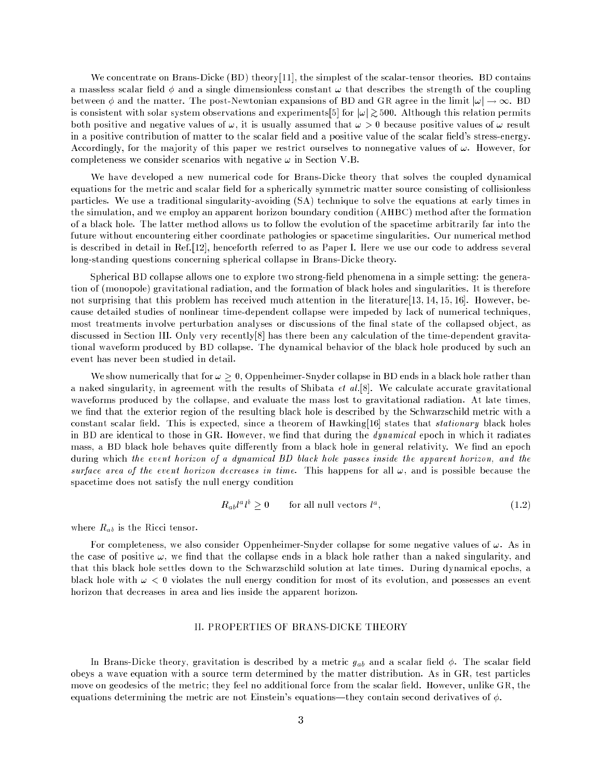We concentrate on Brans-Dicke (BD) theory<sup>[11]</sup>, the simplest of the scalar-tensor theories. BD contains a massless scalar field  $\phi$  and a single dimensionless constant  $\omega$  that describes the strength of the coupling between  $\phi$  and the matter. The post-Newtonian expansions of BD and GR agree in the limit  $|\omega| \to \infty$ . BD is consistent with solar system observations and experiments[5] for  $|\omega| \approx 5000$ . Arthough this relation permitts both positive and negative values of  $\omega$ , it is usually assumed that  $\omega > 0$  because positive values of  $\omega$  result in a positive contribution of matter to the scalar field and a positive value of the scalar field's stress-energy. Accordingly, for the majority of this paper we restrict ourselves to nonnegative values of  $\omega$ . However, for completeness we consider scenarios with negative  $\omega$  in Section V.B.

We have developed a new numerical code for Brans-Dicke theory that solves the coupled dynamical equations for the metric and scalar field for a spherically symmetric matter source consisting of collisionless particles. We use a traditional singularity-avoiding (SA) technique to solve the equations at early times in the simulation, and we employ an apparent horizon boundary condition (AHBC) method after the formation of a black hole. The latter method allows us to follow the evolution of the spacetime arbitrarily far into the future without encountering either coordinate pathologies or spacetime singularities. Our numerical method is described in detail in Ref.[12], henceforth referred to as Paper I. Here we use our code to address several long-standing questions concerning spherical collapse in Brans-Dicke theory.

Spherical BD collapse allows one to explore two strong-field phenomena in a simple setting: the generation of (monopole) gravitational radiation, and the formation of black holes and singularities. It is therefore not surprising that this problem has received much attention in the literature [13, 14, 15, 16]. However, because detailed studies of nonlinear time-dependent collapse were impeded by lack of numerical techniques, most treatments involve perturbation analyses or discussions of the final state of the collapsed object, as discussed in Section III. Only very recently[8] has there been any calculation of the time-dependent gravitational waveform produced by BD collapse. The dynamical behavior of the black hole produced by such an event has never been studied in detail.

We show numerically that for  $\omega \geq 0$ , Oppenheimer-Snyder collapse in BD ends in a black hole rather than a naked singularity, in agreement with the results of Shibata  $et al.[8]$ . We calculate accurate gravitational waveforms produced by the collapse, and evaluate the mass lost to gravitational radiation. At late times, we find that the exterior region of the resulting black hole is described by the Schwarzschild metric with a constant scalar field. This is expected, since a theorem of Hawking[16] states that *stationary* black holes in BD are identical to those in GR. However, we find that during the *dynamical* epoch in which it radiates mass, a BD black hole behaves quite differently from a black hole in general relativity. We find an epoch during which the event horizon of a dynamical BD black hole passes inside the apparent horizon, and the surface area of the event horizon decreases in time. This happens for all  $\omega$ , and is possible because the spacetime does not satisfy the null energy condition

$$
R_{ab}l^a l^b > 0 \qquad \text{for all null vectors } l^a,
$$
\n
$$
(1.2)
$$

where  $R_{ab}$  is the Ricci tensor.

For completeness, we also consider Oppenheimer-Snyder collapse for some negative values of  $\omega$ . As in the case of positive  $\omega$ , we find that the collapse ends in a black hole rather than a naked singularity, and that this black hole settles down to the Schwarzschild solution at late times. During dynamical epochs, a black hole with  $\omega < 0$  violates the null energy condition for most of its evolution, and possesses an event horizon that decreases in area and lies inside the apparent horizon.

## II. PROPERTIES OF BRANS-DICKE THEORY

In Brans-Dicke theory, gravitation is described by a metric  $g_{ab}$  and a scalar field  $\phi$ . The scalar field obeys a wave equation with a source term determined by the matter distribution. As in GR, test particles move on geodesics of the metric; they feel no additional force from the scalar field. However, unlike GR, the equations determining the metric are not Einstein's equations—they contain second derivatives of  $\phi$ .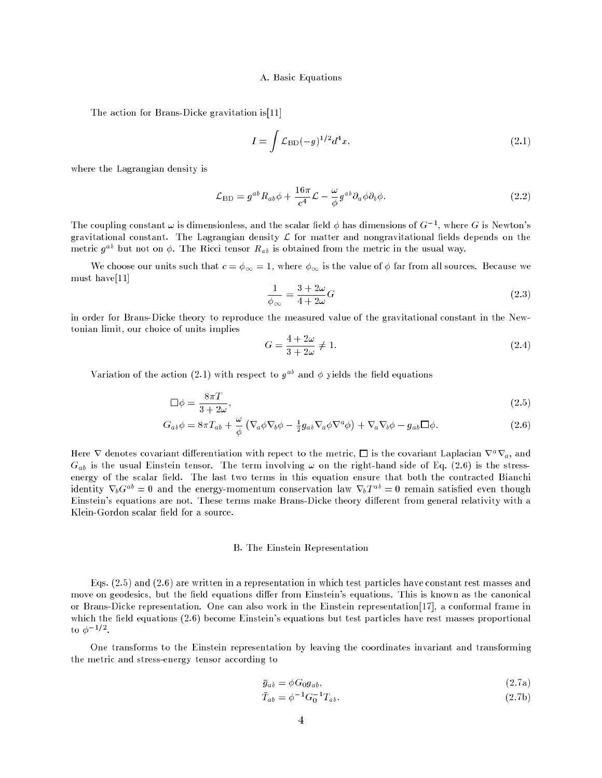#### A. Basic Equations

The action for Brans-Dicke gravitation is[11]

$$
I = \int \mathcal{L}_{\rm BD}(-g)^{1/2} d^4x,\tag{2.1}
$$

where the Lagrangian density is

$$
\mathcal{L}_{\rm BD} = g^{ab} R_{ab} \phi + \frac{16\pi}{c^4} \mathcal{L} - \frac{\omega}{\phi} g^{ab} \partial_a \phi \partial_b \phi.
$$
 (2.2)

The coupling constant  $\omega$  is dimensionless, and the scalar field  $\phi$  has dimensions of  $G^{-1}$ , where G is Newton's gravitational constant. The Lagrangian density  $\mathcal L$  for matter and nongravitational fields depends on the metric  $g^{ab}$  but not on  $\phi$ . The Ricci tensor  $R_{ab}$  is obtained from the metric in the usual way.

We choose our units such that  $c = \phi_{\infty} = 1$ , where  $\phi_{\infty}$  is the value of  $\phi$  far from all sources. Because we must have[11]

$$
\frac{1}{\phi_{\infty}} = \frac{3 + 2\omega}{4 + 2\omega} G \tag{2.3}
$$

in order for Brans-Dicke theory to reproduce the measured value of the gravitational constant in the Newtonian limit, our choice of units implies

$$
G = \frac{4+2\omega}{3+2\omega} \neq 1.
$$
\n
$$
(2.4)
$$

Variation of the action (2.1) with respect to  $g^{ab}$  and  $\phi$  yields the field equations

$$
\Box \phi = \frac{8\pi T}{3 + 2\omega},\tag{2.5}
$$

$$
G_{ab}\phi = 8\pi T_{ab} + \frac{\omega}{\phi} \left( \nabla_a \phi \nabla_b \phi - \frac{1}{2} g_{ab} \nabla_a \phi \nabla^a \phi \right) + \nabla_a \nabla_b \phi - g_{ab} \Box \phi.
$$
 (2.6)

Here  $\nabla$  denotes covariant differentiation with repect to the metric,  $\Box$  is the covariant Laplacian  $\nabla^a \nabla_a$ , and  $G_{ab}$  is the usual Einstein tensor. The term involving  $\omega$  on the right-hand side of Eq. (2.6) is the stressenergy of the scalar field. The last two terms in this equation ensure that both the contracted Bianchi identity  $\nabla_b G^{ab} = 0$  and the energy-momentum conservation law  $\nabla_b T^{ab} = 0$  remain satisfied even though Einstein's equations are not. These terms make Brans-Dicke theory different from general relativity with a Klein-Gordon scalar field for a source.

#### B. The Einstein Representation

Eqs. (2.5) and (2.6) are written in a representation in which test particles have constant rest masses and move on geodesics, but the field equations differ from Einstein's equations. This is known as the canonical or Brans-Dicke representation. One can also work in the Einstein representation[17], a conformal frame in which the field equations  $(2.6)$  become Einstein's equations but test particles have rest masses proportional  $\mathfrak{u} \circ \varphi$  .

One transforms to the Einstein representation by leaving the coordinates invariant and transforming the metric and stress-energy tensor according to

$$
\bar{g}_{ab} = \phi G_0 g_{ab},\tag{2.7a}
$$

$$
\bar{T}_{ab} = \phi^{-1} G_0^{-1} T_{ab}.
$$
\n(2.7b)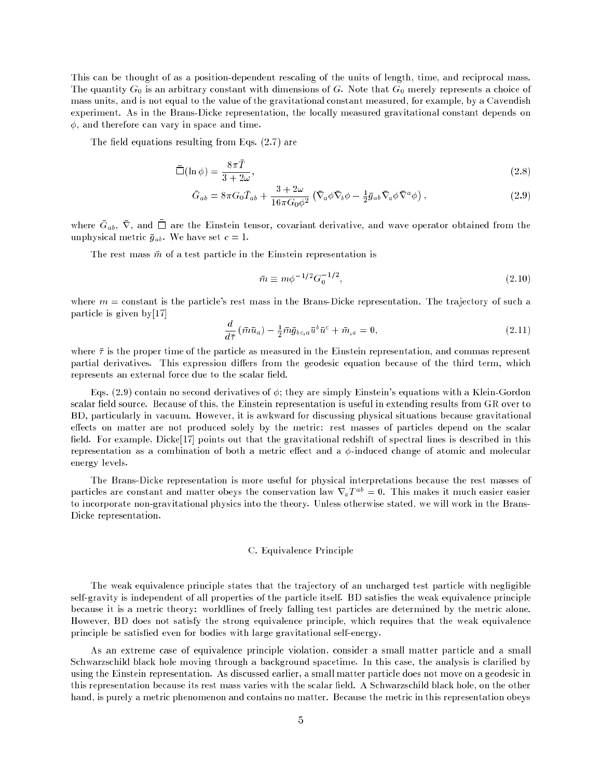This can be thought of as a position-dependent rescaling of the units of length, time, and reciprocal mass. The quantity  $G_0$  is an arbitrary constant with dimensions of G. Note that  $G_0$  merely represents a choice of mass units, and is not equal to the value of the gravitational constant measured, for example, by a Cavendish experiment. As in the Brans-Dicke representation, the locally measured gravitational constant depends on  $\phi$ , and therefore can vary in space and time.

The field equations resulting from Eqs.  $(2.7)$  are

$$
\bar{\Box}(\ln \phi) = \frac{8\pi \bar{T}}{3 + 2\omega},\tag{2.8}
$$

$$
\bar{G}_{ab} = 8\pi G_0 \bar{T}_{ab} + \frac{3+2\omega}{16\pi G_0 \phi^2} \left( \bar{\nabla}_a \phi \bar{\nabla}_b \phi - \frac{1}{2} \bar{g}_{ab} \bar{\nabla}_a \phi \bar{\nabla}^a \phi \right),\tag{2.9}
$$

where  $\alpha_{ab},\,\,{\rm v},\,$  and  $\Box$  are the Einstein tensor, covariant derivative, and wave operator obtained from the unphysical metric  $\bar{g}_{ab}$ . We have set  $c = 1$ .

The rest mass  $\bar{m}$  of a test particle in the Einstein representation is

$$
\bar{m} \equiv m\phi^{-1/2} G_0^{-1/2},\tag{2.10}
$$

where  $m =$  constant is the particle's rest mass in the Brans-Dicke representation. The trajectory of such a particle is given by[17]

$$
\frac{d}{d\bar{\tau}}\left(\bar{m}\bar{u}_{a}\right) - \frac{1}{2}\bar{m}\bar{g}_{bc,a}\bar{u}^{b}\bar{u}^{c} + \bar{m}_{,a} = 0, \qquad (2.11)
$$

where  $\bar{\tau}$  is the proper time of the particle as measured in the Einstein representation, and commas represent partial derivatives. This expression differs from the geodesic equation because of the third term, which represents an external force due to the scalar field.

Eqs. (2.9) contain no second derivatives of  $\phi$ ; they are simply Einstein's equations with a Klein-Gordon scalar field source. Because of this, the Einstein representation is useful in extending results from GR over to BD, particularly in vacuum. However, it is awkward for discussing physical situations because gravitational effects on matter are not produced solely by the metric: rest masses of particles depend on the scalar field. For example, Dicke<sup>[17]</sup> points out that the gravitational redshift of spectral lines is described in this representation as a combination of both a metric effect and a  $\phi$ -induced change of atomic and molecular energy levels.

The Brans-Dicke representation is more useful for physical interpretations because the rest masses of particles are constant and matter obeys the conservation law  $\nabla_a T^{ab} = 0$ . This makes it much easier easier to incorporate non-gravitational physics into the theory. Unless otherwise stated, we will work in the Brans-Dicke representation.

## C. Equivalence Principle

The weak equivalence principle states that the trajectory of an uncharged test particle with negligible self-gravity is independent of all properties of the particle itself. BD satisfies the weak equivalence principle because it is a metric theory: worldlines of freely falling test particles are determined by the metric alone. However, BD does not satisfy the strong equivalence principle, which requires that the weak equivalence principle be satisfied even for bodies with large gravitational self-energy.

As an extreme case of equivalence principle violation, consider a small matter particle and a small Schwarzschild black hole moving through a background spacetime. In this case, the analysis is claried by using the Einstein representation. As discussed earlier, a small matter particle does not move on a geodesic in this representation because its rest mass varies with the scalar field. A Schwarzschild black hole, on the other hand, is purely a metric phenomenon and contains no matter. Because the metric in this representation obeys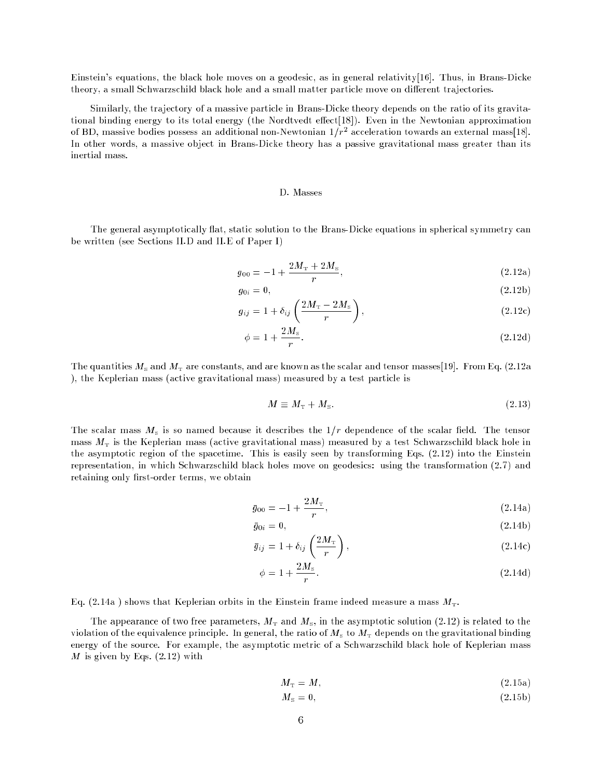Einstein's equations, the black hole moves on a geodesic, as in general relativity[16]. Thus, in Brans-Dicke theory, a small Schwarzschild black hole and a small matter particle move on different trajectories.

Similarly, the trajectory of a massive particle in Brans-Dicke theory depends on the ratio of its gravitational binding energy to its total energy (the Nordtvedt effect[18]). Even in the Newtonian approximation of DD, massive bodies possess an additional non-Newtonian 1/ $r^{\perp}$  acceleration towards an external mass[18]. In other words, a massive object in Brans-Dicke theory has a passive gravitational mass greater than its inertial mass.

## D. Masses

The general asymptotically flat, static solution to the Brans-Dicke equations in spherical symmetry can be written (see Sections II.D and II.E of Paper I)

$$
g_{00} = -1 + \frac{2M_{\rm T} + 2M_{\rm s}}{r},\tag{2.12a}
$$

$$
g_{0i} = 0,\tag{2.12b}
$$

$$
g_{ij} = 1 + \delta_{ij} \left( \frac{2M_{\rm T} - 2M_{\rm s}}{r} \right),\tag{2.12c}
$$

$$
\phi = 1 + \frac{2M_s}{r}.\tag{2.12d}
$$

The quantities  $M_s$  and  $M_T$  are constants, and are known as the scalar and tensor masses[19]. From Eq. (2.12a ), the Keplerian mass (active gravitational mass) measured by a test particle is

$$
M \equiv M_{\rm T} + M_{\rm s}.\tag{2.13}
$$

The scalar mass  $M<sub>s</sub>$  is so named because it describes the  $1/r$  dependence of the scalar field. The tensor mass  $M<sub>T</sub>$  is the Keplerian mass (active gravitational mass) measured by a test Schwarzschild black hole in the asymptotic region of the spacetime. This is easily seen by transforming Eqs. (2.12) into the Einstein representation, in which Schwarzschild black holes move on geodesics: using the transformation (2.7) and retaining only first-order terms, we obtain

$$
\bar{g}_{00} = -1 + \frac{2M_{\rm T}}{r},\tag{2.14a}
$$

$$
\bar{g}_{0i} = 0,\t\t(2.14b)
$$

$$
\bar{g}_{ij} = 1 + \delta_{ij} \left( \frac{2M_{\rm T}}{r} \right),\tag{2.14c}
$$

$$
\phi = 1 + \frac{2M_s}{r}.\tag{2.14d}
$$

Eq. (2.14a) shows that Keplerian orbits in the Einstein frame indeed measure a mass  $M<sub>T</sub>$ .

The appearance of two free parameters,  $M<sub>T</sub>$  and  $M<sub>s</sub>$ , in the asymptotic solution (2.12) is related to the violation of the equivalence principle. In general, the ratio of  $M<sub>s</sub>$  to  $M<sub>T</sub>$  depends on the gravitational binding energy of the source. For example, the asymptotic metric of a Schwarzschild black hole of Keplerian mass  $M$  is given by Eqs.  $(2.12)$  with

$$
M_{\rm T} = M,\tag{2.15a}
$$

$$
M_{\rm s}=0,\t\t(2.15b)
$$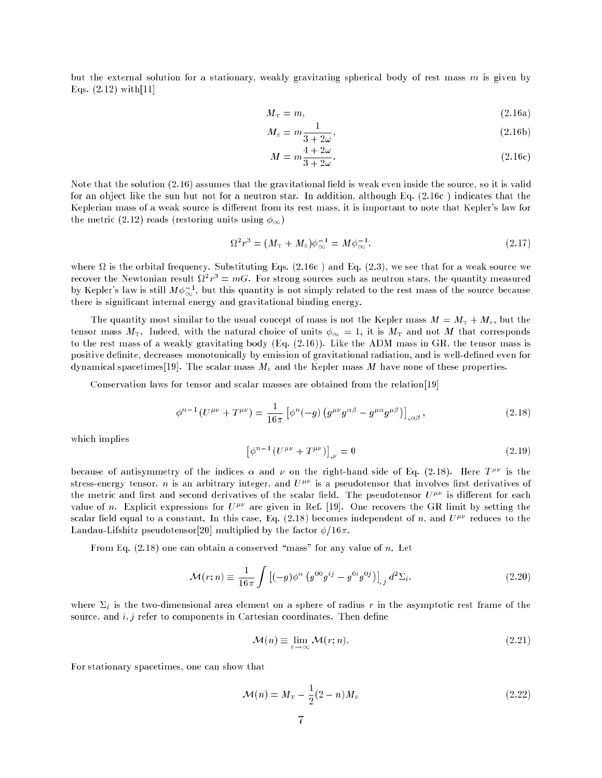but the external solution for a stationary, weakly gravitating spherical body of rest mass  $m$  is given by Eqs. (2.12) with[11]

3 + 2!

$$
M_{\rm T} = m,\t\t(2.16a)
$$

$$
M_{\rm s} = m \frac{1}{3 + 2\omega},\tag{2.16b}
$$

$$
M = m\frac{4+2\omega}{3+2\omega}.
$$
 (2.16c)

Note that the solution  $(2.16)$  assumes that the gravitational field is weak even inside the source, so it is valid for an object like the sun but not for a neutron star. In addition, although Eq. (2.16c ) indicates that the Keplerian mass of a weak source is different from its rest mass, it is important to note that Kepler's law for the metric (2.12) reads (restoring units using  $\phi_{\infty}$ )

$$
\Omega^2 r^3 = (M_{\rm T} + M_{\rm s})\phi_{\infty}^{-1} = M\phi_{\infty}^{-1},\tag{2.17}
$$

where  $\mathcal{U}$  is the orbital frequency. Substituting Eqs. (2.16c ) and Eqs. (2.3), we see that for a weak source we see that for a weak source we see that for a weak source we see that for a weak source we are weak sourc recover the Newtonian result  $u \cdot r^* = mG$ . For strong sources such as neutron stars, the quantity measured by Kepler's law is still  $M\phi_{\infty}^{-1}$ , but this quantity is not simply related to the rest mass of the source because there is signicant internal energy and gravitational binding energy.

The quantity most similar to the usual concept of mass is not the Kepler mass  $M = M_T + M_s$ , but the tensor mass  $M_{\rm T}$ . Indeed, with the natural choice of units  $\phi_{\infty} = 1$ , it is  $M_{\rm T}$  and not M that corresponds to the rest mass of a weakly gravitating body (Eq. (2.16)). Like the ADM mass in GR, the tensor mass is positive definite, decreases monotonically by emission of gravitational radiation, and is well-defined even for dynamical spacetimes [19]. The scalar mass  $M<sub>s</sub>$  and the Kepler mass M have none of these properties.

Conservation laws for tensor and scalar masses are obtained from the relation[19]

$$
\phi^{n-1}(U^{\mu\nu} + T^{\mu\nu}) = \frac{1}{16\pi} \left[ \phi^n(-g) \left( g^{\mu\nu} g^{\alpha\beta} - g^{\mu\alpha} g^{\mu\beta} \right) \right]_{,\alpha\beta}, \tag{2.18}
$$

which implies

$$
\left[\phi^{n-1} \left(U^{\mu\nu} + T^{\mu\nu}\right)\right]_{,\nu} = 0\tag{2.19}
$$

because of antisymmetry of the indices  $\alpha$  and  $\nu$  on the right-hand side of Eq. (2.18). Here  $T^{\mu\nu}$  is the stress-energy tensor, n is an arbitrary integer, and  $U^{\mu\nu}$  is a pseudotensor that involves first derivatives of the metric and first and second derivatives of the scalar field. The pseudotensor  $U^{\mu\nu}$  is different for each value of n. Explicit expressions for  $U^{\mu\nu}$  are given in Ref. [19]. One recovers the GR limit by setting the scalar field equal to a constant. In this case, Eq. (2.18) becomes independent of n, and  $U^{\mu\nu}$  reduces to the Landau-Lifshitz pseudotensor[20] multiplied by the factor  $\phi/16\pi$ .

From Eq.  $(2.18)$  one can obtain a conserved "mass" for any value of n. Let

$$
\mathcal{M}(r;n) \equiv \frac{1}{16\pi} \int \left[ (-g)\phi^n \left( g^{00} g^{ij} - g^{0i} g^{0j} \right) \right]_{,j} d^2 \Sigma_i, \tag{2.20}
$$

where  $\Sigma_i$  is the two-dimensional area element on a sphere of radius r in the asymptotic rest frame of the source, and  $i, j$  refer to components in Cartesian coordinates. Then define

$$
\mathcal{M}(n) \equiv \lim_{r \to \infty} \mathcal{M}(r; n). \tag{2.21}
$$

For stationary spacetimes, one can show that

$$
\mathcal{M}(n) = M_{\rm T} - \frac{1}{2}(2-n)M_{\rm s}
$$
\n(2.22)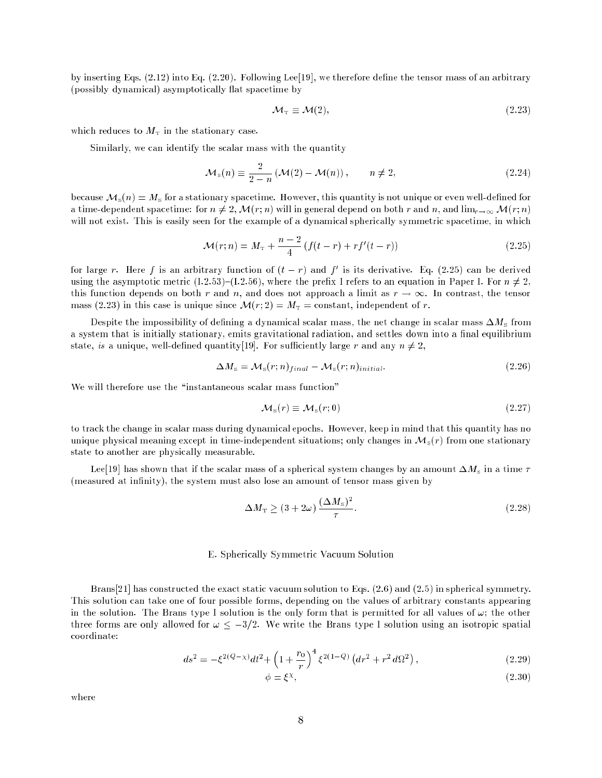by inserting Eqs. (2.12) into Eq. (2.20). Following Lee[19], we therefore dene the tensor mass of an arbitrary (possibly dynamical) asymptotically flat spacetime by

$$
\mathcal{M}_{\mathcal{T}} \equiv \mathcal{M}(2),\tag{2.23}
$$

which reduces to  $M<sub>T</sub>$  in the stationary case.

Similarly, we can identify the scalar mass with the quantity

$$
\mathcal{M}_{s}(n) \equiv \frac{2}{2-n} \left( \mathcal{M}(2) - \mathcal{M}(n) \right), \qquad n \neq 2,
$$
\n(2.24)

because  $\mathcal{M}_s(n) = M_s$  for a stationary spacetime. However, this quantity is not unique or even well-defined for a time-dependent spacetime: for  $n \neq 2$ ,  $\mathcal{M}(r; n)$  will in general depend on both r and n, and lim $_{r \to \infty} \mathcal{M}(r; n)$ will not exist. This is easily seen for the example of a dynamical spherically symmetric spacetime, in which

$$
\mathcal{M}(r;n) = M_{\rm T} + \frac{n-2}{4} \left( f(t-r) + rf'(t-r) \right) \tag{2.25}
$$

for large  $r$ . Here f is an arbitrary function of  $(t-r)$  and f is its derivative. Eq. (2.25) can be derived using the asymptotic metric (I.2.53)-(I.2.56), where the prefix I refers to an equation in Paper I. For  $n \neq 2$ , this function depends on both r and n, and does not approach a limit as  $r \to \infty$ . In contrast, the tensor mass (2.23) in this case is unique since  $\mathcal{M}(r; 2) = M_T = \text{constant}$ , independent of r.

Despite the impossibility of defining a dynamical scalar mass, the net change in scalar mass  $\Delta M_{\rm s}$  from a system that is initially stationary, emits gravitational radiation, and settles down into a final equilibrium state, is a unique, well-defined quantity[19]. For sufficiently large r and any  $n \neq 2$ ,

$$
\Delta M_{\rm s} = \mathcal{M}_{\rm s}(r; n)_{final} - \mathcal{M}_{\rm s}(r; n)_{initial}.
$$
\n(2.26)

We will therefore use the "instantaneous scalar mass function"

$$
\mathcal{M}_{s}(r) \equiv \mathcal{M}_{s}(r;0) \tag{2.27}
$$

to track the change in scalar mass during dynamical epochs. However, keep in mind that this quantity has no unique physical meaning except in time-independent situations; only changes in  $\mathcal{M}_s(r)$  from one stationary state to another are physically measurable.

Lee[19] has shown that if the scalar mass of a spherical system changes by an amount  $\Delta M_{\rm s}$  in a time  $\tau$ (measured at infinity), the system must also lose an amount of tensor mass given by

$$
\Delta M_{\rm T} \ge (3 + 2\omega) \frac{(\Delta M_{\rm s})^2}{\tau}.
$$
\n(2.28)

### E. Spherically Symmetric Vacuum Solution

Brans[21] has constructed the exact static vacuum solution to Eqs. (2.6) and (2.5) in spherical symmetry. This solution can take one of four possible forms, depending on the values of arbitrary constants appearing in the solution. The Brans type I solution is the only form that is permitted for all values of  $\omega$ ; the other three forms are only allowed for  $\omega \leq -3/2$ . We write the Brans type I solution using an isotropic spatial coordinate:

$$
ds^{2} = -\xi^{2(Q-\chi)}dt^{2} + \left(1 + \frac{r_{0}}{r}\right)^{4} \xi^{2(1-Q)}\left(dr^{2} + r^{2} d\Omega^{2}\right),
$$
\n(2.29)

$$
\phi = \xi^{\chi},\tag{2.30}
$$

where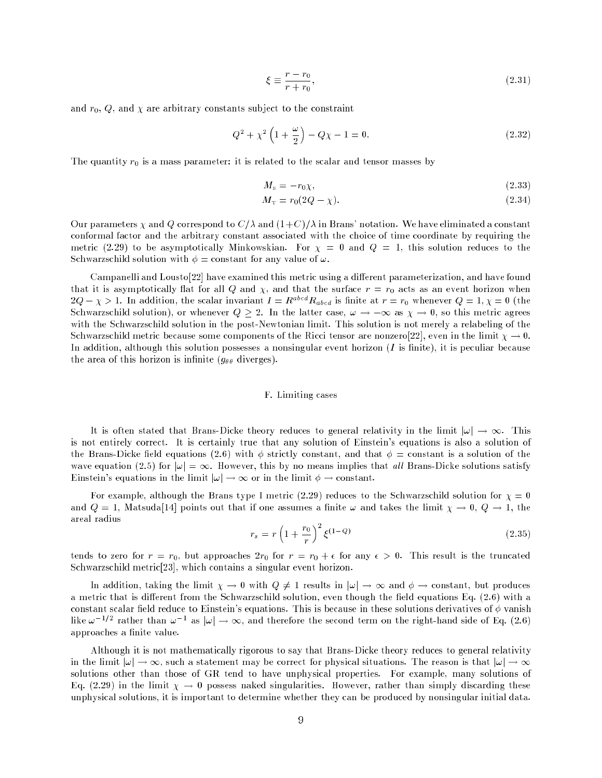$$
\xi \equiv \frac{r - r_0}{r + r_0},\tag{2.31}
$$

and  $r_0$ ,  $Q$ , and  $\chi$  are arbitrary constants subject to the constraint

$$
Q^{2} + \chi^{2} \left( 1 + \frac{\omega}{2} \right) - Q \chi - 1 = 0.
$$
 (2.32)

The quantity  $r_0$  is a mass parameter: it is related to the scalar and tensor masses by

$$
M_{\rm s} = -r_0 \chi,\tag{2.33}
$$

$$
M_{\rm T} = r_0(2Q - \chi). \tag{2.34}
$$

Our parameters  $\chi$  and Q correspond to  $C/\lambda$  and  $(1+C)/\lambda$  in Brans' notation. We have eliminated a constant conformal factor and the arbitrary constant associated with the choice of time coordinate by requiring the metric (2.29) to be asymptotically Minkowskian. For  $\chi = 0$  and  $Q = 1$ , this solution reduces to the Schwarzschild solution with  $\phi = constant$  for any value of  $\omega$ .

Campanelli and Lousto<sup>[22]</sup> have examined this metric using a different parameterization, and have found that it is asymptotically flat for all Q and  $\chi$ , and that the surface  $r = r_0$  acts as an event horizon when  $2Q - \chi > 1$ . In addition, the scalar invariant  $I = R^{abcd}R_{abcd}$  is finite at  $r = r_0$  whenever  $Q = 1, \chi = 0$  (the Schwarzschild solution), or whenever  $Q \geq 2$ . In the latter case,  $\omega \to -\infty$  as  $\chi \to 0$ , so this metric agrees with the Schwarzschild solution in the post-Newtonian limit. This solution is not merely a relabeling of the Schwarzschild metric because some components of the Ricci tensor are nonzero[22], even in the limit  $\chi \to 0$ . In addition, although this solution possesses a nonsingular event horizon  $(I$  is finite), it is peculiar because the area of this horizon is infinite  $(g_{\theta\theta}$  diverges).

#### F. Limiting cases

It is often stated that Brans-Dicke theory reduces to general relativity in the limit  $|\omega| \to \infty$ . This is not entirely correct. It is certainly true that any solution of Einstein's equations is also a solution of the Brans-Dicke field equations (2.6) with  $\phi$  strictly constant, and that  $\phi = constant$  is a solution of the wave equation (2.5) for  $|\omega| = \infty$ . However, this by no means implies that all Brans-Dicke solutions satisfy Einstein's equations in the limit  $|\omega| \to \infty$  or in the limit  $\phi \to \text{constant}$ .

For example, although the Brans type I metric (2.29) reduces to the Schwarzschild solution for  $\chi = 0$ and  $Q = 1$ , Matsuda<sup>[14]</sup> points out that if one assumes a finite  $\omega$  and takes the limit  $\chi \to 0$ ,  $Q \to 1$ , the areal radius

$$
r_s = r \left(1 + \frac{r_0}{r}\right)^2 \xi^{(1-Q)} \tag{2.35}
$$

tends to zero for  $r = r_0$ , but approaches  $2r_0$  for  $r = r_0 + \epsilon$  for any  $\epsilon > 0$ . This result is the truncated Schwarzschild metric[23], which contains a singular event horizon.

In addition, taking the limit  $\chi \to 0$  with  $Q \neq 1$  results in  $|\omega| \to \infty$  and  $\phi \to$  constant, but produces a metric that is different from the Schwarzschild solution, even though the field equations Eq.  $(2.6)$  with a constant scalar field reduce to Einstein's equations. This is because in these solutions derivatives of  $\phi$  vanish like  $\omega$  =  $\tau$  - rather than  $\omega$  = as  $|\omega| \to \infty$ , and therefore the second term on the right-hand side of Eq. (2.6) approaches a finite value.

Although it is not mathematically rigorous to say that Brans-Dicke theory reduces to general relativity in the limit  $|\omega| \to \infty$ , such a statement may be correct for physical situations. The reason is that  $|\omega| \to \infty$ solutions other than those of GR tend to have unphysical properties. For example, many solutions of Eq. (2.29) in the limit  $\chi \to 0$  possess naked singularities. However, rather than simply discarding these unphysical solutions, it is important to determine whether they can be produced by nonsingular initial data.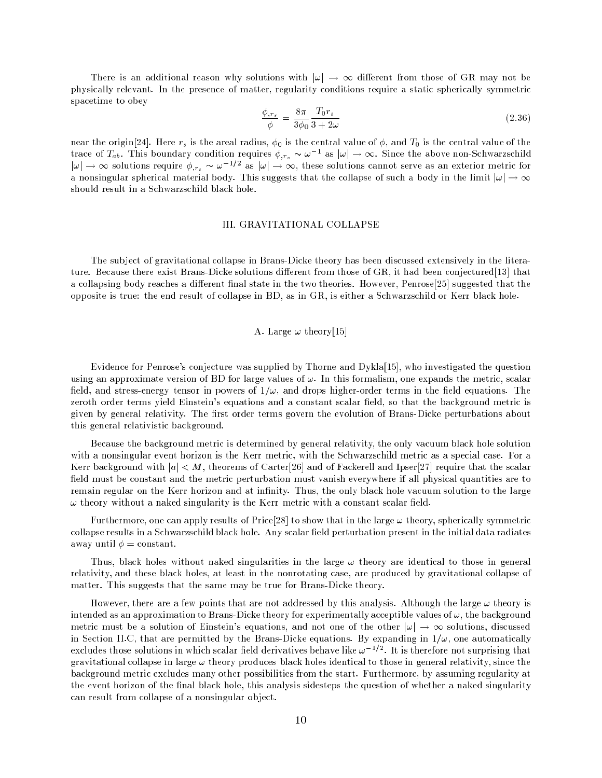There is an additional reason why solutions with  $|\omega| \to \infty$  different from those of GR may not be physically relevant. In the presence of matter, regularity conditions require a static spherically symmetric spacetime to obey

$$
\frac{\phi_{,rs}}{\phi} = \frac{8\pi}{3\phi_0} \frac{T_0 r_s}{3 + 2\omega} \tag{2.36}
$$

near the origin[24]. Here  $r_s$  is the areal radius,  $\phi_0$  is the central value of  $\phi$ , and  $T_0$  is the central value of the trace of  $I_{ab}$ . This boundary condition requires  $\varphi,_{r_s} \sim \omega$  as  $|\omega| \to \infty$ . Since the above non-Schwarzschild  $|\omega| \to \infty$  solutions require  $\varphi_{,r_s} \sim \omega^{-1/2}$  as  $|\omega| \to \infty$ , these solutions cannot serve as an exterior metric for a nonsingular spherical material body. This suggests that the collapse of such a body in the limit  $|\omega| \to \infty$ should result in a Schwarzschild black hole.

## III. GRAVITATIONAL COLLAPSE

The subject of gravitational collapse in Brans-Dicke theory has been discussed extensively in the literature. Because there exist Brans-Dicke solutions different from those of GR, it had been conjectured [13] that a collapsing body reaches a different final state in the two theories. However, Penrose<sup>[25]</sup> suggested that the opposite is true: the end result of collapse in BD, as in GR, is either a Schwarzschild or Kerr black hole.

## A. Large  $\omega$  theory[15]

Evidence for Penrose's conjecture was supplied by Thorne and Dykla[15], who investigated the question using an approximate version of BD for large values of  $\omega$ . In this formalism, one expands the metric, scalar field, and stress-energy tensor in powers of  $1/\omega$ , and drops higher-order terms in the field equations. The zeroth order terms yield Einstein's equations and a constant scalar field, so that the background metric is given by general relativity. The first order terms govern the evolution of Brans-Dicke perturbations about this general relativistic background.

Because the background metric is determined by general relativity, the only vacuum black hole solution with a nonsingular event horizon is the Kerr metric, with the Schwarzschild metric as a special case. For a Kerr background with  $|a| < M$ , theorems of Carter[26] and of Fackerell and Ipser[27] require that the scalar field must be constant and the metric perturbation must vanish everywhere if all physical quantities are to remain regular on the Kerr horizon and at infinity. Thus, the only black hole vacuum solution to the large  $\omega$  theory without a naked singularity is the Kerr metric with a constant scalar field.

Furthermore, one can apply results of Price[28] to show that in the large  $\omega$  theory, spherically symmetric collapse results in a Schwarzschild black hole. Any scalar field perturbation present in the initial data radiates away until  $\phi = constant$ .

Thus, black holes without naked singularities in the large  $\omega$  theory are identical to those in general relativity, and these black holes, at least in the nonrotating case, are produced by gravitational collapse of matter. This suggests that the same may be true for Brans-Dicke theory.

However, there are a few points that are not addressed by this analysis. Although the large  $\omega$  theory is intended as an approximation to Brans-Dicke theory for experimentally acceptible values of  $\omega$ , the background metric must be a solution of Einstein's equations, and not one of the other  $|\omega| \to \infty$  solutions, discussed in Section II.C, that are permitted by the Brans-Dicke equations. By expanding in  $1/\omega$ , one automatically excludes those solutions in which scalar held derivatives behave like  $\omega$  =2. It is therefore not surprising that gravitational collapse in large  $\omega$  theory produces black holes identical to those in general relativity, since the background metric excludes many other possibilities from the start. Furthermore, by assuming regularity at the event horizon of the final black hole, this analysis sidesteps the question of whether a naked singularity can result from collapse of a nonsingular object.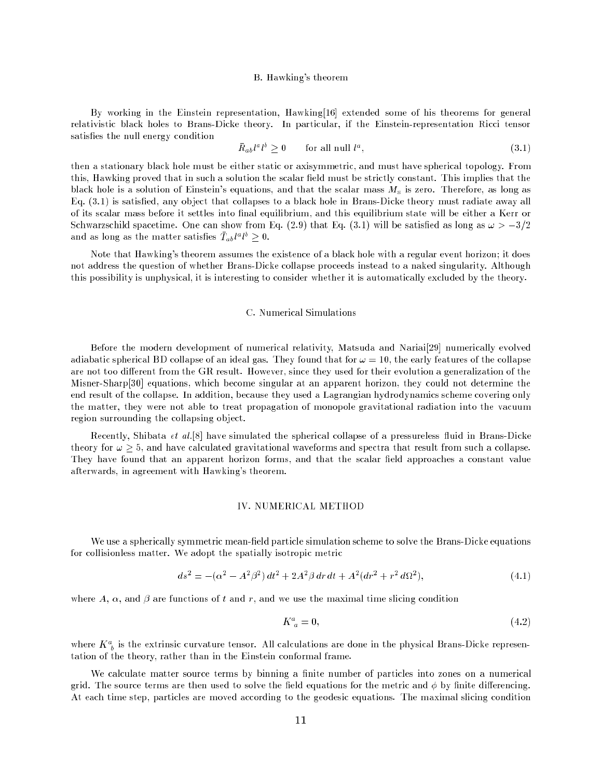#### B. Hawking's theorem

By working in the Einstein representation, Hawking[16] extended some of his theorems for general relativistic black holes to Brans-Dicke theory. In particular, if the Einstein-representation Ricci tensor satisfies the null energy condition

$$
\bar{R}_{ab}l^a l^b \ge 0 \qquad \text{for all null } l^a,\tag{3.1}
$$

then a stationary black hole must be either static or axisymmetric, and must have spherical topology. From this, Hawking proved that in such a solution the scalar field must be strictly constant. This implies that the black hole is a solution of Einstein's equations, and that the scalar mass  $M<sub>s</sub>$  is zero. Therefore, as long as Eq. (3.1) is satised, any object that collapses to a black hole in Brans-Dicke theory must radiate away all of its scalar mass before it settles into final equilibrium, and this equilibrium state will be either a Kerr or Schwarzschild spacetime. One can show from Eq. (2.9) that Eq. (3.1) will be satisfied as long as  $\omega > -3/2$ and as long as the matter satisfies  $T_{ab}t^*t^* \geq 0$ .

Note that Hawking's theorem assumes the existence of a black hole with a regular event horizon; it does not address the question of whether Brans-Dicke collapse proceeds instead to a naked singularity. Although this possibility is unphysical, it is interesting to consider whether it is automatically excluded by the theory.

### C. Numerical Simulations

Before the modern development of numerical relativity, Matsuda and Nariai[29] numerically evolved adiabatic spherical BD collapse of an ideal gas. They found that for  $\omega = 10$ , the early features of the collapse are not too different from the GR result. However, since they used for their evolution a generalization of the Misner-Sharp[30] equations, which become singular at an apparent horizon, they could not determine the end result of the collapse. In addition, because they used a Lagrangian hydrodynamics scheme covering only the matter, they were not able to treat propagation of monopole gravitational radiation into the vacuum region surrounding the collapsing object.

Recently, Shibata et al.<sup>[8]</sup> have simulated the spherical collapse of a pressureless fluid in Brans-Dicke theory for  $\omega \geq 5$ , and have calculated gravitational waveforms and spectra that result from such a collapse. They have found that an apparent horizon forms, and that the scalar field approaches a constant value afterwards, in agreement with Hawking's theorem.

## **IV. NUMERICAL METHOD**

We use a spherically symmetric mean-field particle simulation scheme to solve the Brans-Dicke equations for collisionless matter. We adopt the spatially isotropic metric

$$
ds^{2} = -(\alpha^{2} - A^{2}\beta^{2}) dt^{2} + 2A^{2}\beta dr dt + A^{2}(dr^{2} + r^{2} d\Omega^{2}),
$$
\n(4.1)

where A,  $\alpha$ , and  $\beta$  are functions of t and r, and we use the maximal time slicing condition

$$
K^a_{\ a} = 0,\tag{4.2}
$$

where  $K_{\ b}^*$  is the extrinsic curvature tensor. All calculations are done in the physical Brans-Dicke representation of the theory, rather than in the Einstein conformal frame.

We calculate matter source terms by binning a finite number of particles into zones on a numerical grid. The source terms are then used to solve the field equations for the metric and  $\phi$  by finite differencing. At each time step, particles are moved according to the geodesic equations. The maximal slicing condition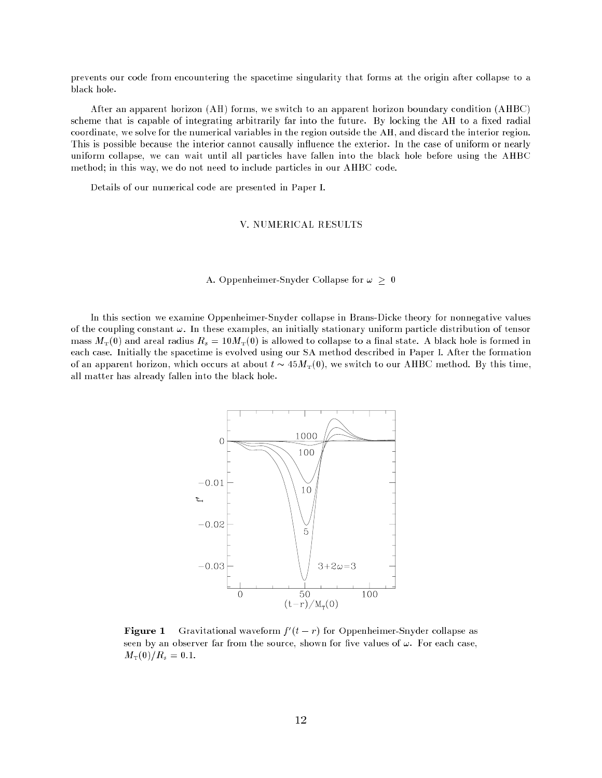prevents our code from encountering the spacetime singularity that forms at the origin after collapse to a black hole.

After an apparent horizon (AH) forms, we switch to an apparent horizon boundary condition (AHBC) scheme that is capable of integrating arbitrarily far into the future. By locking the AH to a fixed radial coordinate, we solve for the numerical variables in the region outside the AH, and discard the interior region. This is possible because the interior cannot causally influence the exterior. In the case of uniform or nearly uniform collapse, we can wait until all particles have fallen into the black hole before using the AHBC method; in this way, we do not need to include particles in our AHBC code.

Details of our numerical code are presented in Paper I.

## V. NUMERICAL RESULTS

## A. Oppenheimer-Snyder Collapse for  $\omega \geq 0$

In this section we examine Oppenheimer-Snyder collapse in Brans-Dicke theory for nonnegative values of the coupling constant  $\omega$ . In these examples, an initially stationary uniform particle distribution of tensor mass  $M_T(0)$  and areal radius  $R_s = 10M_T(0)$  is allowed to collapse to a final state. A black hole is formed in each case. Initially the spacetime is evolved using our SA method described in Paper I. After the formation of an apparent horizon, which occurs at about  $t \sim 45 M_T(0)$ , we switch to our AHBC method. By this time, all matter has already fallen into the black hole.



**Figure 1** Gravitational waveform  $f(t - r)$  for Oppenheimer-Snyder conapse as seen by an observer far from the source, shown for five values of  $\omega$ . For each case,  $M_{\rm T}(0)/R_s = 0.1.$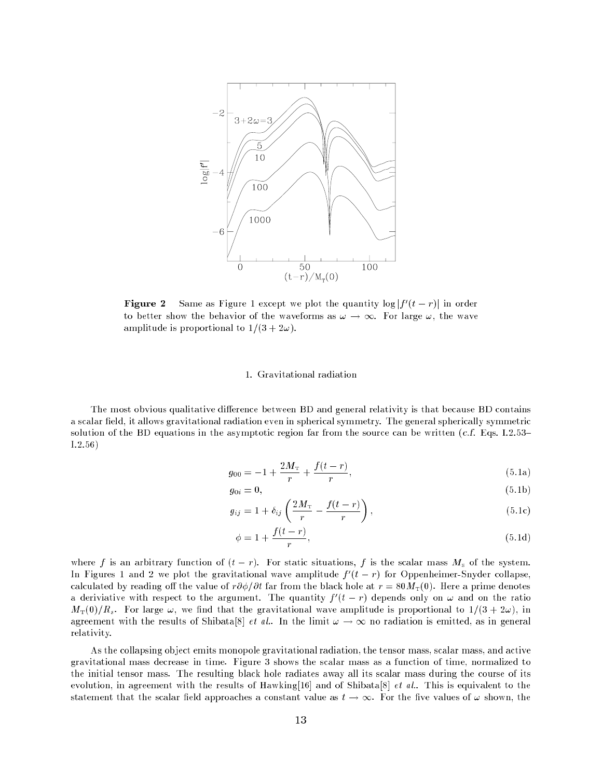

**Figure**  $\boldsymbol{z}$  - Same as Figure 1 except we plot the quantity  $\log |t|$   $(t = r)|$  in order to better show the behavior of the waveforms as  $\omega \to \infty$ . For large  $\omega$ , the wave amplitude is proportional to  $1/(3 + 2\omega)$ .

## 1. Gravitational radiation

The most obvious qualitative difference between BD and general relativity is that because BD contains a scalar field, it allows gravitational radiation even in spherical symmetry. The general spherically symmetric solution of the BD equations in the asymptotic region far from the source can be written  $(c.f. Eqs. I.2.53-$ I.2.56)

$$
g_{00} = -1 + \frac{2M_{\rm T}}{r} + \frac{f(t - r)}{r},\tag{5.1a}
$$

$$
g_{0i} = 0,\t\t(5.1b)
$$

$$
g_{ij} = 1 + \delta_{ij} \left( \frac{2M_{\rm T}}{r} - \frac{f(t-r)}{r} \right),\tag{5.1c}
$$

$$
\phi = 1 + \frac{f(t - r)}{r},\tag{5.1d}
$$

where f is an arbitrary function of  $(t - r)$ . For static situations, f is the scalar mass  $M<sub>s</sub>$  of the system. In Figures 1 and 2 we plot the gravitational wave amplitude  $f(t-r)$  for Oppenheimer-Snyder collapse, calculated by reading off the value of  $r\partial\phi/\partial t$  far from the black hole at  $r = 80M<sub>T</sub>(0)$ . Here a prime denotes a deriviative with respect to the argument. The quantity  $\mu$  ( $t = r$ ) depends only on  $\omega$  and on the ratio  $M_{\rm T}(0)/R_s$ . For large  $\omega$ , we find that the gravitational wave amplitude is proportional to  $1/(3 + 2\omega)$ , in agreement with the results of Shibata[8] *et al.*. In the limit  $\omega \to \infty$  no radiation is emitted, as in general relativity.

As the collapsing object emits monopole gravitational radiation, the tensor mass, scalar mass, and active gravitational mass decrease in time. Figure 3 shows the scalar mass as a function of time, normalized to the initial tensor mass. The resulting black hole radiates away all its scalar mass during the course of its evolution, in agreement with the results of Hawking[16] and of Shibata[8] *et al.*. This is equivalent to the statement that the scalar field approaches a constant value as  $t \to \infty$ . For the five values of  $\omega$  shown, the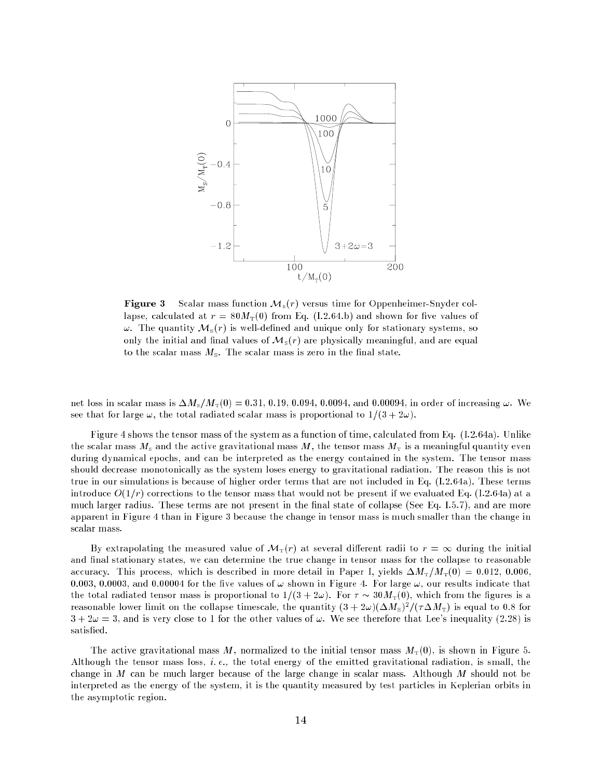

**Figure 3** Scalar mass function  $\mathcal{M}_s(r)$  versus time for Oppenheimer-Snyder collapse, calculated at  $r = 80M<sub>T</sub>(0)$  from Eq. (I.2.64.b) and shown for five values of  $\omega$ . The quantity  $\mathcal{M}_s(r)$  is well-defined and unique only for stationary systems, so only the initial and final values of  $\mathcal{M}_s(r)$  are physically meaningful, and are equal to the scalar mass  $M_s$ . The scalar mass is zero in the final state.

net loss in scalar mass is  $\Delta M_{\rm s}/M_{\rm T}(0) = 0.31, 0.19, 0.094, 0.0094,$  and 0.00094, in order of increasing  $\omega$ . We see that for large  $\omega$ , the total radiated scalar mass is proportional to  $1/(3 + 2\omega)$ .

Figure 4 shows the tensor mass of the system as a function of time, calculated from Eq. (I.2.64a). Unlike the scalar mass  $M<sub>s</sub>$  and the active gravitational mass  $M$ , the tensor mass  $M<sub>T</sub>$  is a meaningful quantity even during dynamical epochs, and can be interpreted as the energy contained in the system. The tensor mass should decrease monotonically as the system loses energy to gravitational radiation. The reason this is not true in our simulations is because of higher order terms that are not included in Eq. (I.2.64a). These terms introduce  $O(1/r)$  corrections to the tensor mass that would not be present if we evaluated Eq. (I.2.64a) at a much larger radius. These terms are not present in the final state of collapse (See Eq. I.5.7), and are more apparent in Figure 4 than in Figure 3 because the change in tensor mass is much smaller than the change in scalar mass.

By extrapolating the measured value of  $\mathcal{M}_{\rm T}(r)$  at several different radii to  $r = \infty$  during the initial and final stationary states, we can determine the true change in tensor mass for the collapse to reasonable accuracy. This process, which is described in more detail in Paper I, yields  $\Delta M_{\rm T}/M_{\rm T}(0) = 0.012, 0.006$ . 0.003, 0.0003, and 0.00004 for the five values of  $\omega$  shown in Figure 4. For large  $\omega$ , our results indicate that the total radiated tensor mass is proportional to  $1/(3 + 2\omega)$ . For  $\tau \sim 30M<sub>T</sub>(0)$ , which from the figures is a reasonable lower limit on the conapse timescale, the quantity (3 +  $2\omega$ )( $\Delta M_{\rm S}$ ) /( $7\Delta M_{\rm T}$ ) is equal to 0.8 for  $3 + 2\omega = 3$ , and is very close to 1 for the other values of  $\omega$ . We see therefore that Lee's inequality (2.28) is satisfied.

The active gravitational mass M, normalized to the initial tensor mass  $M<sub>T</sub>(0)$ , is shown in Figure 5. Although the tensor mass loss, i. e., the total energy of the emitted gravitational radiation, is small, the change in M can be much larger because of the large change in scalar mass. Although M should not be interpreted as the energy of the system, it is the quantity measured by test particles in Keplerian orbits in the asymptotic region.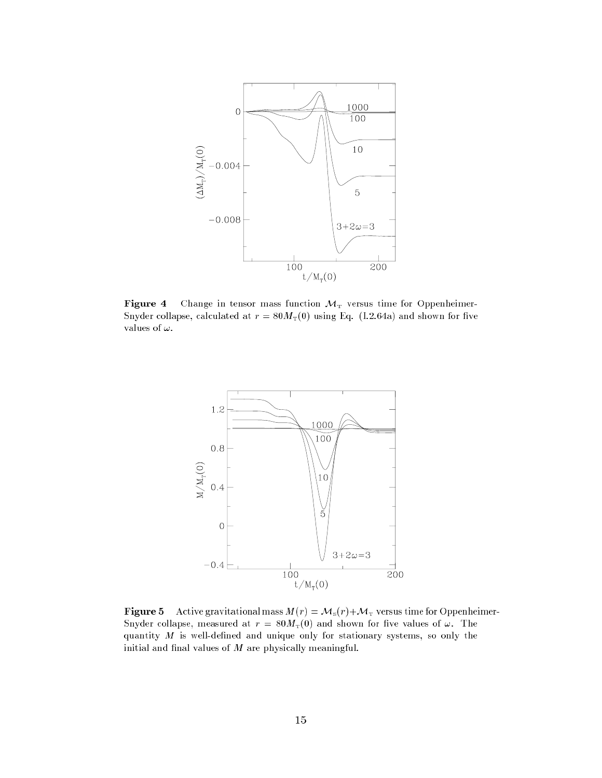

Figure 4 Change in tensor mass function  $M<sub>T</sub>$  versus time for Oppenheimer-Snyder collapse, calculated at  $r = 80M<sub>T</sub>(0)$  using Eq. (I.2.64a) and shown for five values of  $\omega.$ 



**Figure 5** Active gravitational mass  $M(r) = M_s(r) + M_T$  versus time for Oppenheimer-Snyder collapse, measured at  $r = 80 M_T(0)$  and shown for five values of  $\omega$ . The quantity  $M$  is well-defined and unique only for stationary systems, so only the initial and final values of  $M$  are physically meaningful.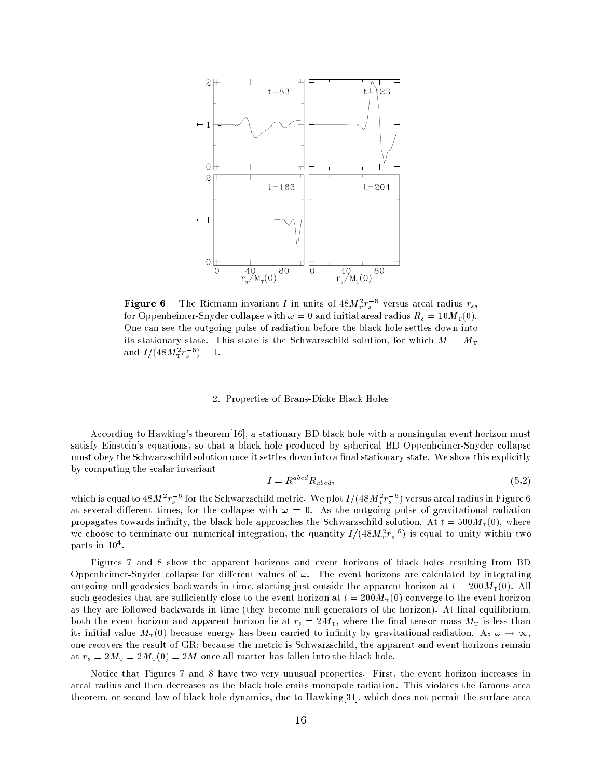

**rigure 6** The Klemann invariant I in units of  $48M_T^2r_s^2$  versus areal radius  $r_s$ , for Oppenheimer-Snyder collapse with  $\omega = 0$  and initial areal radius  $R_s = 10 M_\text{T}(0)$ . One can see the outgoing pulse of radiation before the black hole settles down into its stationary state. This state is the Schwarzschild solution, for which  $M = M<sub>T</sub>$ and  $I/(48M_T^2 r_s^2) = 1.$ 

## 2. Properties of Brans-Dicke Black Holes

According to Hawking's theorem[16], a stationary BD black hole with a nonsingular event horizon must satisfy Einstein's equations, so that a black hole produced by spherical BD Oppenheimer-Snyder collapse must obey the Schwarzschild solution once it settles down into a final stationary state. We show this explicitly by computing the scalar invariant

$$
I = R^{abcd} R_{abcd}, \t\t(5.2)
$$

which is equal to 48*M*  $r_s$   $\cdot$  for the Schwarzschild metric. We plot  $I/(48M_T r_s)^{\frac{1}{2}}$  ) versus areal radius in Figure 6 at several different times, for the collapse with  $\omega = 0$ . As the outgoing pulse of gravitational radiation propagates towards infinity, the black hole approaches the Schwarzschild solution. At  $t = 500 M_{\rm T}(0)$ , where we choose to terminate our numerical integration, the quantity  $I/(48M_T^2 r_s^{-2})$  is equal to unity within two parts in 10<sup>4</sup> .

Figures 7 and 8 show the apparent horizons and event horizons of black holes resulting from BD Oppenheimer-Snyder collapse for different values of  $\omega$ . The event horizons are calculated by integrating outgoing null geodesics backwards in time, starting just outside the apparent horizon at  $t = 200M<sub>T</sub>(0)$ . All such geodesics that are sufficiently close to the event horizon at  $t = 200M<sub>T</sub>(0)$  converge to the event horizon as they are followed backwards in time (they become null generators of the horizon). At final equilibrium, both the event horizon and apparent horizon lie at  $r_s = 2M_T$ , where the final tensor mass  $M_T$  is less than its initial value  $M_T(0)$  because energy has been carried to infinity by gravitational radiation. As  $\omega \to \infty$ . one recovers the result of GR: because the metric is Schwarzschild, the apparent and event horizons remain at  $r_s = 2M_T = 2M_T(0) = 2M$  once all matter has fallen into the black hole.

Notice that Figures 7 and 8 have two very unusual properties. First, the event horizon increases in areal radius and then decreases as the black hole emits monopole radiation. This violates the famous area theorem, or second law of black hole dynamics, due to Hawking[31], which does not permit the surface area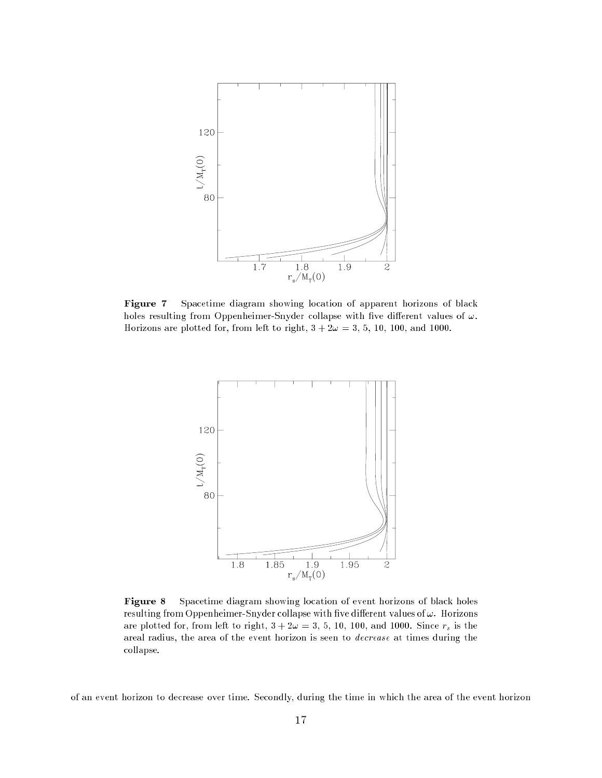

Figure 7 Spacetime diagram showing location of apparent horizons of black holes resulting from Oppenheimer-Snyder collapse with five different values of  $\omega$ . Horizons are plotted for, from left to right,  $3 + 2\omega = 3, 5, 10, 100,$  and 1000.



Figure 8 Spacetime diagram showing location of event horizons of black holes resulting from Oppenheimer-Snyder collapse with five different values of  $\omega$ . Horizons are plotted for, from left to right,  $3 + 2\omega = 3, 5, 10, 100,$  and 1000. Since  $r_s$  is the areal radius, the area of the event horizon is seen to decrease at times during the collapse.

of an event horizon to decrease over time. Secondly, during the time in which the area of the event horizon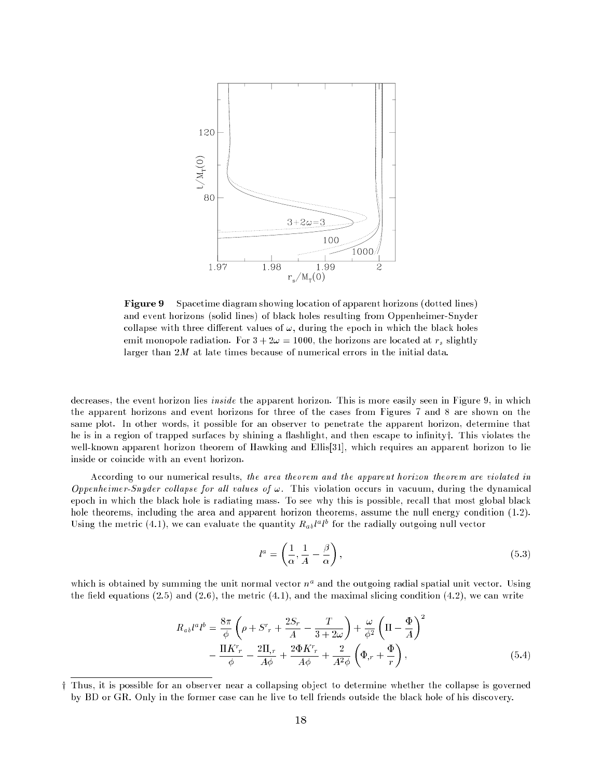

Figure 9 Spacetime diagram showing location of apparent horizons (dotted lines) and event horizons (solid lines) of black holes resulting from Oppenheimer-Snyder collapse with three different values of  $\omega$ , during the epoch in which the black holes emit monopole radiation. For  $3 + 2\omega = 1000$ , the horizons are located at  $r_s$  slightly larger than 2M at late times because of numerical errors in the initial data.

decreases, the event horizon lies inside the apparent horizon. This is more easily seen in Figure 9, in which the apparent horizons and event horizons for three of the cases from Figures 7 and 8 are shown on the same plot. In other words, it possible for an observer to penetrate the apparent horizon, determine that he is in a region of trapped surfaces by shining a flashlight, and then escape to infinity; This violates the well-known apparent horizon theorem of Hawking and Ellis<sup>[31]</sup>, which requires an apparent horizon to lie inside or coincide with an event horizon.

According to our numerical results, the area theorem and the apparent horizon theorem are violated in Oppenheimer-Snyder collapse for all values of  $\omega$ . This violation occurs in vacuum, during the dynamical epoch in which the black hole is radiating mass. To see why this is possible, recall that most global black hole theorems, including the area and apparent horizon theorems, assume the null energy condition (1.2). Using the metric (4.1), we can evaluate the quantity  $\bm{R}_{ab}$  of the redually outgoing null vector

$$
l^a = \left(\frac{1}{\alpha}, \frac{1}{A} - \frac{\beta}{\alpha}\right),\tag{5.3}
$$

which is obtained by summing the unit normal vector  $n^{\perp}$  and the outgoing radial spatial unit vector. Using the field equations  $(2.5)$  and  $(2.6)$ , the metric  $(4.1)$ , and the maximal slicing condition  $(4.2)$ , we can write

$$
R_{ab}l^a l^b = \frac{8\pi}{\phi} \left( \rho + S^r{}_r + \frac{2S_r}{A} - \frac{T}{3+2\omega} \right) + \frac{\omega}{\phi^2} \left( \Pi - \frac{\Phi}{A} \right)^2
$$

$$
- \frac{\Pi K^r{}_r}{\phi} - \frac{2\Pi_{,r}}{A\phi} + \frac{2\Phi K^r{}_r}{A\phi} + \frac{2}{A^2\phi} \left( \Phi_{,r} + \frac{\Phi}{r} \right), \tag{5.4}
$$

<sup>y</sup> Thus, it is possible for an observer near a collapsing object to determine whether the collapse is governed by BD or GR. Only in the former case can he live to tell friends outside the black hole of his discovery.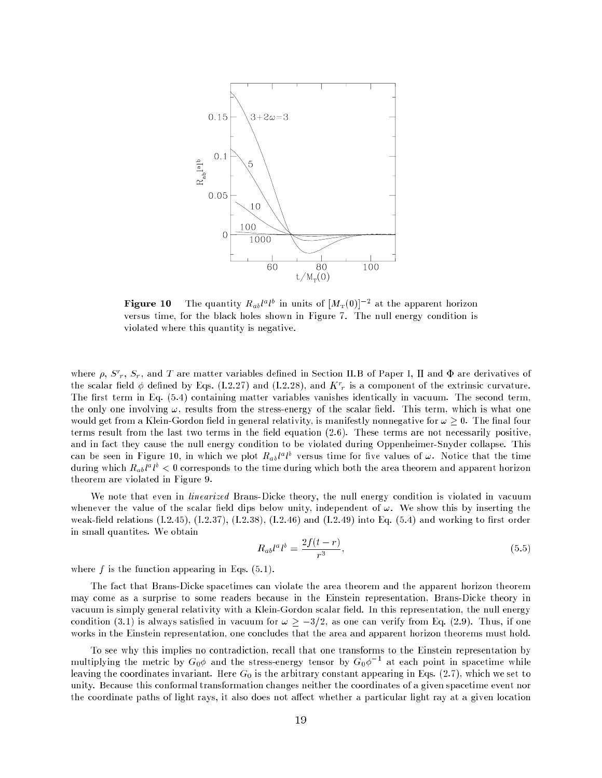

**rigure to** the quantity  $R_{ab}t^a t^c$  in units of  $|M_{\rm T}(0)|$  - at the apparent horizon versus time, for the black holes shown in Figure 7. The null energy condition is violated where this quantity is negative.

where  $\rho$ ,  $S_r$ ,  $S_r$ , and T are matter variables defined in Section II.B of Paper I, II and  $\Psi$  are derivatives of the scalar held  $\varphi$  defined by Eqs. (1.2.27) and (1.2.28), and  $K_{\rm cr}$  is a component of the extrinsic curvature. The first term in Eq.  $(5.4)$  containing matter variables vanishes identically in vacuum. The second term, the only one involving  $\omega$ , results from the stress-energy of the scalar field. This term, which is what one would get from a Klein-Gordon field in general relativity, is manifestly nonnegative for  $\omega \geq 0$ . The final four terms result from the last two terms in the field equation  $(2.6)$ . These terms are not necessarily positive, and in fact they cause the null energy condition to be violated during Oppenheimer-Snyder collapse. This can be seen in Figure 10, in which we plot  $R_{ab}$  if the versus time for live values of  $\omega$ . Notice that the time during which  $R_{ab}$ r to  $\in$  0 corresponds to the time during which both the area theorem and apparent horizon theorem are violated in Figure 9.

We note that even in *linearized* Brans-Dicke theory, the null energy condition is violated in vacuum whenever the value of the scalar field dips below unity, independent of  $\omega$ . We show this by inserting the weak-field relations  $(1.2.45)$ ,  $(1.2.37)$ ,  $(1.2.38)$ ,  $(1.2.46)$  and  $(1.2.49)$  into Eq.  $(5.4)$  and working to first order in small quantites. We obtain

$$
R_{ab}l^a l^b = \frac{2f(t-r)}{r^3},\tag{5.5}
$$

where  $f$  is the function appearing in Eqs.  $(5.1)$ .

The fact that Brans-Dicke spacetimes can violate the area theorem and the apparent horizon theorem may come as a surprise to some readers because in the Einstein representation, Brans-Dicke theory in vacuum is simply general relativity with a Klein-Gordon scalar field. In this representation, the null energy condition (3.1) is always satisfied in vacuum for  $\omega \geq -3/2$ , as one can verify from Eq. (2.9). Thus, if one works in the Einstein representation, one concludes that the area and apparent horizon theorems must hold.

To see why this implies no contradiction, recall that one transforms to the Einstein representation by multiplying the metric by  $G_0\phi$  and the stress-energy tensor by  $G_0\phi$  = at each point in spacetime while leaving the coordinates invariant. Here  $G_0$  is the arbitrary constant appearing in Eqs. (2.7), which we set to unity. Because this conformal transformation changes neither the coordinates of a given spacetime event nor the coordinate paths of light rays, it also does not affect whether a particular light ray at a given location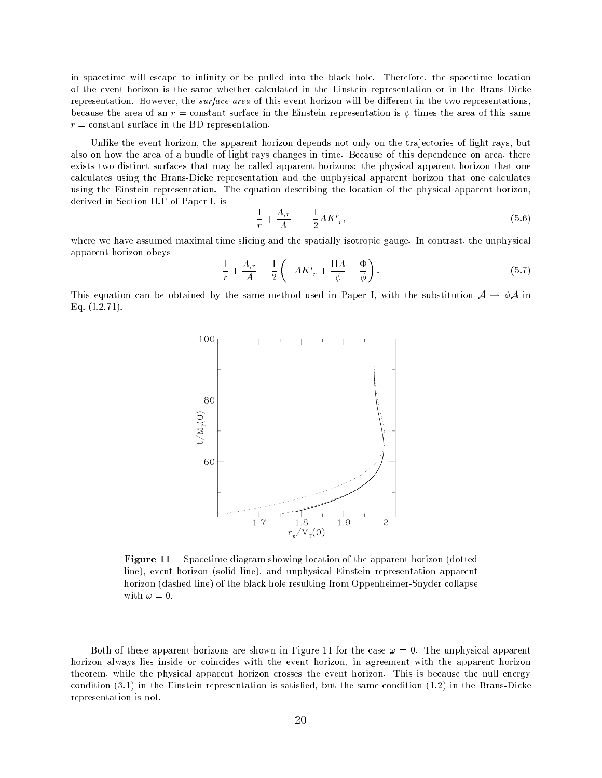in spacetime will escape to infinity or be pulled into the black hole. Therefore, the spacetime location of the event horizon is the same whether calculated in the Einstein representation or in the Brans-Dicke representation. However, the *surface area* of this event horizon will be different in the two representations, because the area of an  $r =$  constant surface in the Einstein representation is  $\phi$  times the area of this same  $r = constant$  surface in the BD representation.

Unlike the event horizon, the apparent horizon depends not only on the trajectories of light rays, but also on how the area of a bundle of light rays changes in time. Because of this dependence on area, there exists two distinct surfaces that may be called apparent horizons: the physical apparent horizon that one calculates using the Brans-Dicke representation and the unphysical apparent horizon that one calculates using the Einstein representation. The equation describing the location of the physical apparent horizon, derived in Section II.F of Paper I, is

$$
\frac{1}{r} + \frac{A_{,r}}{A} = -\frac{1}{2}AKr_{,r},\tag{5.6}
$$

where we have assumed maximal time slicing and the spatially isotropic gauge. In contrast, the unphysical apparent horizon obeys

$$
\frac{1}{r} + \frac{A_{,r}}{A} = \frac{1}{2} \left( -AKr_r + \frac{\Pi A}{\phi} - \frac{\Phi}{\phi} \right).
$$
\n(5.7)

This equation can be obtained by the same method used in Paper I, with the substitution  $A \rightarrow \phi A$  in Eq. (I.2.71).



**Figure 11** Spacetime diagram showing location of the apparent horizon (dotted) line), event horizon (solid line), and unphysical Einstein representation apparent horizon (dashed line) of the black hole resulting from Oppenheimer-Snyder collapse with  $\omega = 0$ .

Both of these apparent horizons are shown in Figure 11 for the case  $\omega = 0$ . The unphysical apparent horizon always lies inside or coincides with the event horizon, in agreement with the apparent horizon theorem, while the physical apparent horizon crosses the event horizon. This is because the null energy condition (3.1) in the Einstein representation is satised, but the same condition (1.2) in the Brans-Dicke representation is not.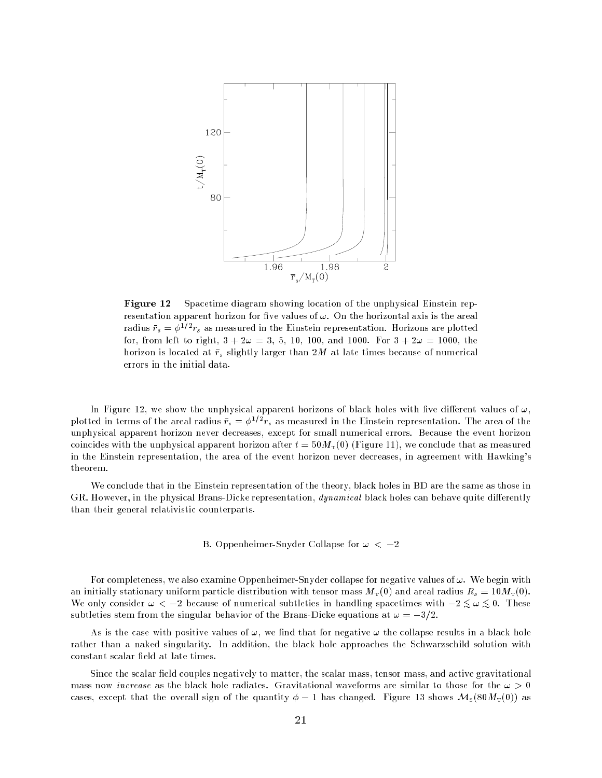

Figure 12 Spacetime diagram showing location of the unphysical Einstein representation apparent horizon for five values of  $\omega$ . On the horizontal axis is the areal radius  $r_s = \varphi$  –  $r_s$  as measured in the Einstein representation. Horizons are plotted for, from left to right,  $3 + 2\omega = 3, 5, 10, 100,$  and 1000. For  $3 + 2\omega = 1000$ , the horizon is located at  $\bar{r}_s$  slightly larger than 2M at late times because of numerical errors in the initial data.

In Figure 12, we show the unphysical apparent horizons of black holes with five different values of  $\omega$ , plotted in terms of the areal radius  $r_s = \varphi^{-1} \cdot r_s$  as measured in the Einstein representation. The area of the unphysical apparent horizon never decreases, except for small numerical errors. Because the event horizon coincides with the unphysical apparent horizon after  $t = 50 M<sub>T</sub>(0)$  (Figure 11), we conclude that as measured in the Einstein representation, the area of the event horizon never decreases, in agreement with Hawking's theorem.

We conclude that in the Einstein representation of the theory, black holes in BD are the same as those in GR. However, in the physical Brans-Dicke representation, *dynamical* black holes can behave quite differently than their general relativistic counterparts.

## B. Oppenheimer-Snyder Collapse for  $\omega < -2$

For completeness, we also examine Oppenheimer-Snyder collapse for negative values of  $\omega$ . We begin with an initially stationary uniform particle distribution with tensor mass  $M_T(0)$  and areal radius  $R_s = 10 M_T(0)$ . We only consider  $w \leq 2$  because of numerical subtleties in handling spacetimes with  $2 \sin \omega$  of These subtleties stem from the singular behavior of the Brans-Dicke equations at  $\omega = -3/2$ .

As is the case with positive values of  $\omega$ , we find that for negative  $\omega$  the collapse results in a black hole rather than a naked singularity. In addition, the black hole approaches the Schwarzschild solution with constant scalar field at late times.

Since the scalar field couples negatively to matter, the scalar mass, tensor mass, and active gravitational mass now *increase* as the black hole radiates. Gravitational waveforms are similar to those for the  $\omega > 0$ cases, except that the overall sign of the quantity  $\phi - 1$  has changed. Figure 13 shows  $\mathcal{M}_{s}(80M_{T}(0))$  as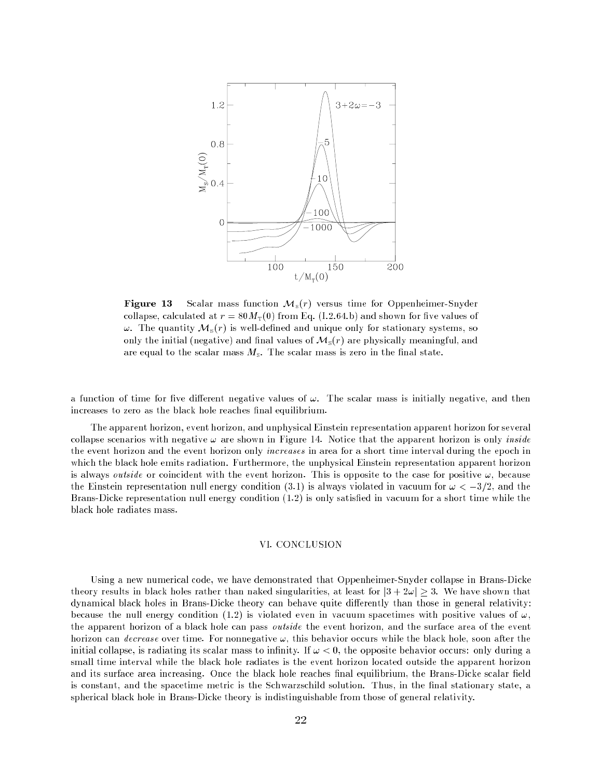

**Figure 13** Scalar mass function  $M_s(r)$  versus time for Oppenheimer-Snyder collapse, calculated at  $r = 80 M_{\rm T}(0)$  from Eq. (I.2.64.b) and shown for five values of  $\omega$ . The quantity  $\mathcal{M}_s(r)$  is well-defined and unique only for stationary systems, so only the initial (negative) and final values of  $\mathcal{M}_s(r)$  are physically meaningful, and are equal to the scalar mass  $M_s$ . The scalar mass is zero in the final state.

a function of time for five different negative values of  $\omega$ . The scalar mass is initially negative, and then increases to zero as the black hole reaches final equilibrium.

The apparent horizon, event horizon, and unphysical Einstein representation apparent horizon for several collapse scenarios with negative  $\omega$  are shown in Figure 14. Notice that the apparent horizon is only *inside* the event horizon and the event horizon only increases in area for a short time interval during the epoch in which the black hole emits radiation. Furthermore, the unphysical Einstein representation apparent horizon is always *outside* or coincident with the event horizon. This is opposite to the case for positive  $\omega$ , because the Einstein representation null energy condition (3.1) is always violated in vacuum for  $\omega < -3/2$ , and the Brans-Dicke representation null energy condition (1.2) is only satised in vacuum for a short time while the black hole radiates mass.

### VI. CONCLUSION

Using a new numerical code, we have demonstrated that Oppenheimer-Snyder collapse in Brans-Dicke theory results in black holes rather than naked singularities, at least for  $|3 + 2\omega| \geq 3$ . We have shown that dynamical black holes in Brans-Dicke theory can behave quite differently than those in general relativity: because the null energy condition (1.2) is violated even in vacuum spacetimes with positive values of  $\omega$ , the apparent horizon of a black hole can pass outside the event horizon, and the surface area of the event horizon can *decrease* over time. For nonnegative  $\omega$ , this behavior occurs while the black hole, soon after the initial collapse, is radiating its scalar mass to infinity. If  $\omega < 0$ , the opposite behavior occurs: only during a small time interval while the black hole radiates is the event horizon located outside the apparent horizon and its surface area increasing. Once the black hole reaches final equilibrium, the Brans-Dicke scalar field is constant, and the spacetime metric is the Schwarzschild solution. Thus, in the final stationary state, a spherical black hole in Brans-Dicke theory is indistinguishable from those of general relativity.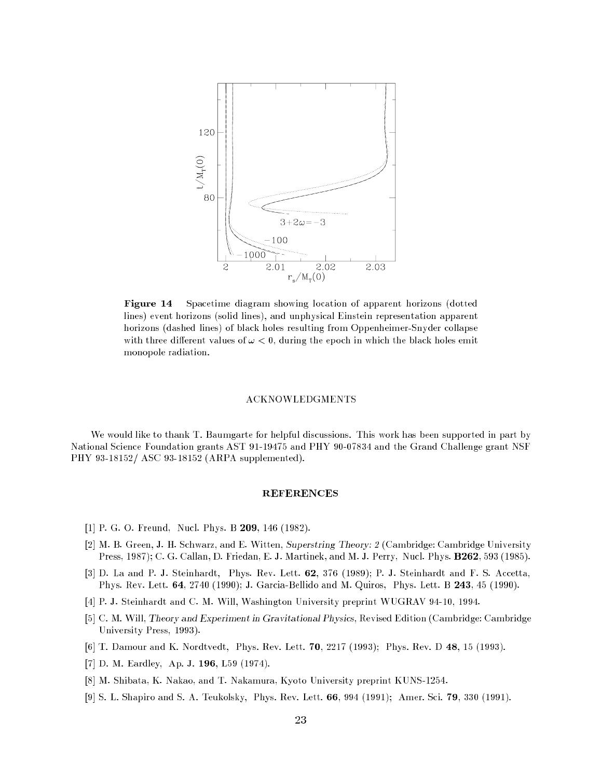

Figure 14 Spacetime diagram showing location of apparent horizons (dotted lines) event horizons (solid lines), and unphysical Einstein representation apparent horizons (dashed lines) of black holes resulting from Oppenheimer-Snyder collapse with three different values of  $\omega < 0$ , during the epoch in which the black holes emit monopole radiation.

### ACKNOWLEDGMENTS

We would like to thank T. Baumgarte for helpful discussions. This work has been supported in part by National Science Foundation grants AST 91-19475 and PHY 90-07834 and the Grand Challenge grant NSF PHY 93-18152/ ASC 93-18152 (ARPA supplemented).

- [1] P. G. O. Freund, Nucl. Phys. B 209, 146 (1982).
- [2] M. B. Green, J. H. Schwarz, and E. Witten, Superstring Theory: 2 (Cambridge: Cambridge University Press, 1987); C. G. Callan, D. Friedan, E. J. Martinek, and M. J. Perry, Nucl. Phys. B262, 593 (1985).
- [3] D. La and P. J. Steinhardt, Phys. Rev. Lett. 62, 376 (1989); P. J. Steinhardt and F. S. Accetta, Phys. Rev. Lett. 64, 2740 (1990); J. Garcia-Bellido and M. Quiros, Phys. Lett. B 243, 45 (1990).
- [4] P. J. Steinhardt and C. M. Will, Washington University preprint WUGRAV 94-10, 1994.
- [5] C. M. Will, Theory and Experiment in Gravitational Physics, Revised Edition (Cambridge: Cambridge University Press, 1993).
- [6] T. Damour and K. Nordtvedt, Phys. Rev. Lett. 70, 2217 (1993); Phys. Rev. D 48, 15 (1993).
- [7] D. M. Eardley, Ap. J. 196, L59 (1974).
- [8] M. Shibata, K. Nakao, and T. Nakamura, Kyoto University preprint KUNS-1254.
- [9] S. L. Shapiro and S. A. Teukolsky, Phys. Rev. Lett. 66, 994 (1991); Amer. Sci. 79, 330 (1991).